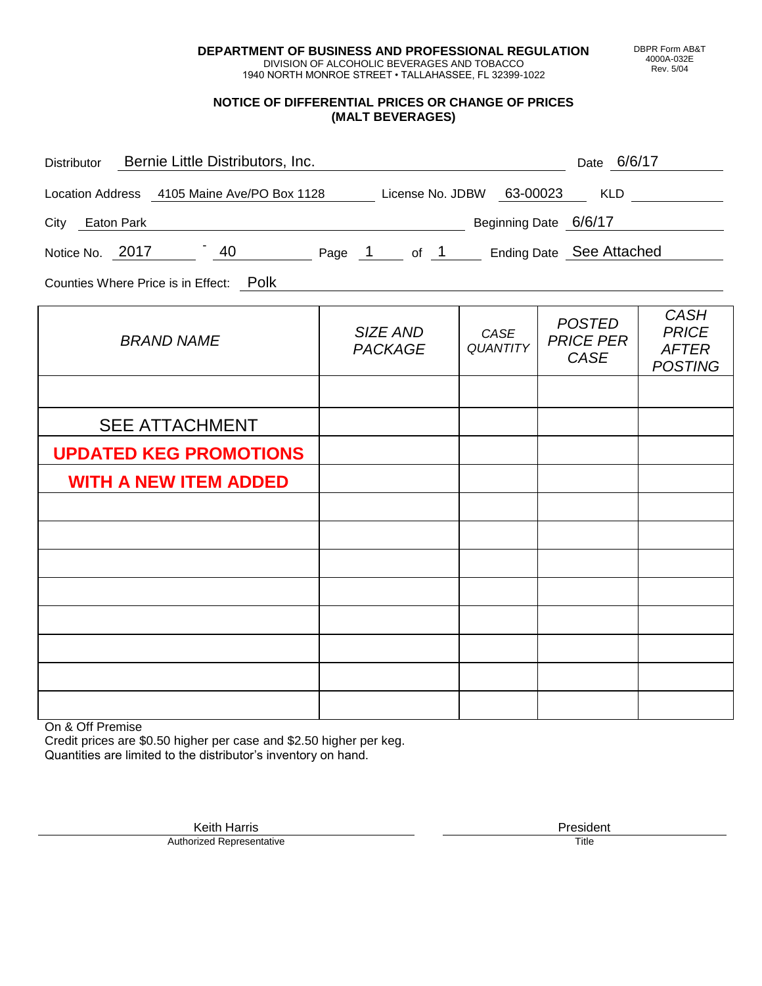**DEPARTMENT OF BUSINESS AND PROFESSIONAL REGULATION** DIVISION OF ALCOHOLIC BEVERAGES AND TOBACCO

1940 NORTH MONROE STREET • TALLAHASSEE, FL 32399-1022

**NOTICE OF DIFFERENTIAL PRICES OR CHANGE OF PRICES (MALT BEVERAGES)**

| Distributor Bernie Little Distributors, Inc.                              | Date 6/6/17                |                         |                                                  |                                                               |
|---------------------------------------------------------------------------|----------------------------|-------------------------|--------------------------------------------------|---------------------------------------------------------------|
| Location Address 4105 Maine Ave/PO Box 1128 License No. JDBW 63-00023 KLD |                            |                         |                                                  |                                                               |
| City Eaton Park                                                           |                            |                         | Beginning Date 6/6/17                            |                                                               |
| Notice No. 2017 140 Page 1 of 1 Ending Date See Attached                  |                            |                         |                                                  |                                                               |
| Counties Where Price is in Effect: Polk                                   |                            |                         |                                                  |                                                               |
| <b>BRAND NAME</b>                                                         | SIZE AND<br><b>PACKAGE</b> | CASE<br><b>QUANTITY</b> | <b>POSTED</b><br><b>PRICE PER</b><br><b>CASE</b> | <b>CASH</b><br><b>PRICE</b><br><b>AFTER</b><br><b>POSTING</b> |
|                                                                           |                            |                         |                                                  |                                                               |
| <b>SEE ATTACHMENT</b>                                                     |                            |                         |                                                  |                                                               |
| <b>UPDATED KEG PROMOTIONS</b>                                             |                            |                         |                                                  |                                                               |
| <b>WITH A NEW ITEM ADDED</b>                                              |                            |                         |                                                  |                                                               |
|                                                                           |                            |                         |                                                  |                                                               |

On & Off Premise

Credit prices are \$0.50 higher per case and \$2.50 higher per keg. Quantities are limited to the distributor's inventory on hand.

Keith Harris **President** President President President President President President President President President<br>Prized Representative **President** Prize President Prize President Prize President Prize President Prize Pre Authorized Representative

DBPR Form AB&T 4000A-032E Rev. 5/04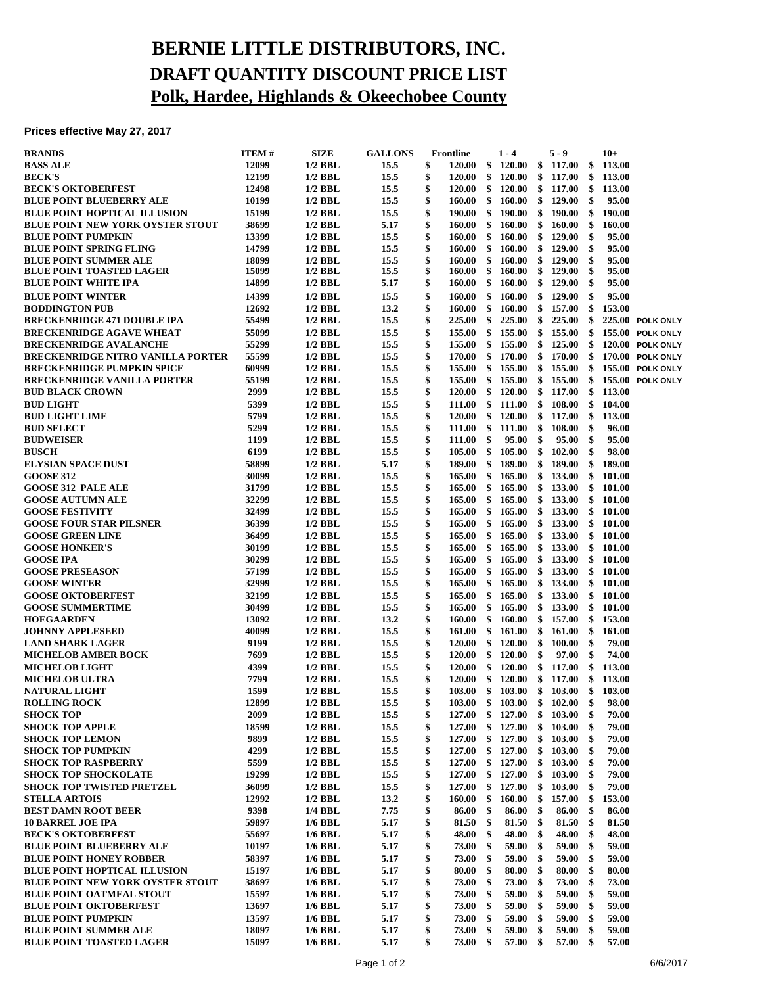## **BERNIE LITTLE DISTRIBUTORS, INC. DRAFT QUANTITY DISCOUNT PRICE LIST Polk, Hardee, Highlands & Okeechobee County**

## **Prices effective May 27, 2017**

| <b>BRANDS</b>                            | ITEM # | SIZE           | <b>GALLONS</b> | <b>Frontline</b>        |               | $1 - 4$          |               | $5 - 9$ | $10+$        |                  |
|------------------------------------------|--------|----------------|----------------|-------------------------|---------------|------------------|---------------|---------|--------------|------------------|
| <b>BASS ALE</b>                          | 12099  | $1/2$ BBL      | 15.5           | \$<br><b>120.00</b>     | -\$           | <b>120.00</b>    | \$            | 117.00  | \$<br>113.00 |                  |
| <b>BECK'S</b>                            | 12199  | $1/2$ BBL      | 15.5           | \$<br>$120.00\quad$ \$  |               | <b>120.00</b>    | $\frac{1}{2}$ | 117.00  | \$<br>113.00 |                  |
| <b>BECK'S OKTOBERFEST</b>                | 12498  | $1/2$ BBL      | 15.5           | \$<br>$120.00 \quad$ \$ |               | 120.00           | \$            | 117.00  | \$<br>113.00 |                  |
| <b>BLUE POINT BLUEBERRY ALE</b>          | 10199  | $1/2$ BBL      | 15.5           | \$<br>160.00            | $\mathbf{\$}$ | 160.00           | \$            | 129.00  | \$<br>95.00  |                  |
| <b>BLUE POINT HOPTICAL ILLUSION</b>      | 15199  | $1/2$ BBL      | 15.5           | \$<br>$190.00\quad$ \$  |               | 190.00           | \$            | 190.00  | \$<br>190.00 |                  |
| <b>BLUE POINT NEW YORK OYSTER STOUT</b>  | 38699  | $1/2$ BBL      | 5.17           | \$<br>160.00 S          |               | 160.00           | -\$           | 160.00  | \$<br>160.00 |                  |
| <b>BLUE POINT PUMPKIN</b>                | 13399  | $1/2$ BBL      | 15.5           | \$<br>$160.00\quad$ \$  |               | 160.00           | \$            | 129.00  | \$<br>95.00  |                  |
| <b>BLUE POINT SPRING FLING</b>           | 14799  | $1/2$ BBL      | 15.5           | \$<br>160.00            | \$            | 160.00           | \$            | 129.00  | \$<br>95.00  |                  |
| <b>BLUE POINT SUMMER ALE</b>             | 18099  | $1/2$ BBL      | 15.5           | \$<br>160.00            | \$            | 160.00           | \$            | 129.00  | \$<br>95.00  |                  |
| <b>BLUE POINT TOASTED LAGER</b>          | 15099  | $1/2$ BBL      | 15.5           | \$<br>160.00            | \$            | 160.00           | \$            | 129.00  | \$<br>95.00  |                  |
| <b>BLUE POINT WHITE IPA</b>              | 14899  | $1/2$ BBL      | 5.17           | \$<br>160.00            | $\frac{1}{2}$ | 160.00           | \$            | 129.00  | \$<br>95.00  |                  |
| <b>BLUE POINT WINTER</b>                 | 14399  | $1/2$ BBL      | 15.5           | \$<br>160.00            | \$            | 160.00           | \$            | 129.00  | \$<br>95.00  |                  |
| <b>BODDINGTON PUB</b>                    | 12692  | $1/2$ BBL      | 13.2           | \$<br>160.00            | -\$           | 160.00           | \$            | 157.00  | \$<br>153.00 |                  |
| <b>BRECKENRIDGE 471 DOUBLE IPA</b>       | 55499  | $1/2$ BBL      | 15.5           | \$<br>225.00            | \$            | 225.00           | \$            | 225.00  | \$           | 225.00 POLK ONLY |
| <b>BRECKENRIDGE AGAVE WHEAT</b>          | 55099  | $1/2$ BBL      | 15.5           | \$<br>$155.00\quad$ \$  |               | 155.00           | \$            | 155.00  | \$           | 155.00 POLK ONLY |
| <b>BRECKENRIDGE AVALANCHE</b>            | 55299  | $1/2$ BBL      | 15.5           | \$<br>$155.00\quad$ \$  |               | 155.00           | -\$           | 125.00  | \$           | 120.00 POLK ONLY |
| <b>BRECKENRIDGE NITRO VANILLA PORTER</b> | 55599  | $1/2$ BBL      | 15.5           | \$<br>$170.00\quad$ \$  |               | 170.00           | \$            | 170.00  | \$           | 170.00 POLK ONLY |
| <b>BRECKENRIDGE PUMPKIN SPICE</b>        | 60999  | $1/2$ BBL      | 15.5           | \$<br>155.00            | \$            | 155.00           | \$            | 155.00  | \$           | 155.00 POLK ONLY |
| <b>BRECKENRIDGE VANILLA PORTER</b>       | 55199  | $1/2$ BBL      | 15.5           | \$<br>155.00            | \$            | 155.00           | \$            | 155.00  | \$           | 155.00 POLK ONLY |
| <b>BUD BLACK CROWN</b>                   | 2999   | $1/2$ BBL      | 15.5           | \$<br>$120.00\quad$ \$  |               | 120.00           | \$            | 117.00  | \$<br>113.00 |                  |
| <b>BUD LIGHT</b>                         | 5399   | $1/2$ BBL      | 15.5           | \$<br>$111.00 \quad $$  |               | 111.00           | - \$          | 108.00  | \$<br>104.00 |                  |
| <b>BUD LIGHT LIME</b>                    | 5799   | $1/2$ BBL      | 15.5           | \$<br>120.00 S          |               | 120.00           | \$            | 117.00  | \$<br>113.00 |                  |
| <b>BUD SELECT</b>                        | 5299   | $1/2$ BBL      | 15.5           | \$<br>$111.00 \quad$ \$ |               | 111.00           | -\$           | 108.00  | \$<br>96.00  |                  |
| <b>BUDWEISER</b>                         | 1199   | $1/2$ BBL      | 15.5           | \$<br><b>111.00</b>     | \$            | 95.00            | \$            | 95.00   | \$<br>95.00  |                  |
| <b>BUSCH</b>                             | 6199   | $1/2$ BBL      | 15.5           | \$<br>$105.00\quad$ \$  |               | 105.00           | \$            | 102.00  | \$<br>98.00  |                  |
| <b>ELYSIAN SPACE DUST</b>                | 58899  | $1/2$ BBL      | 5.17           | \$<br>$189.00\quad$ \$  |               | 189.00           | -\$           | 189.00  | \$<br>189.00 |                  |
| <b>GOOSE 312</b>                         | 30099  | $1/2$ BBL      | 15.5           | \$<br>$165.00\quad$ \$  |               | 165.00           | \$            | 133.00  | \$<br>101.00 |                  |
| <b>GOOSE 312 PALE ALE</b>                | 31799  | $1/2$ BBL      | 15.5           | \$<br>165.00            | -\$           | 165.00           | \$            | 133.00  | \$101.00     |                  |
| <b>GOOSE AUTUMN ALE</b>                  | 32299  | $1/2$ BBL      | 15.5           | \$<br>165.00            | $\frac{1}{2}$ | 165.00           | \$            | 133.00  | \$<br>101.00 |                  |
| <b>GOOSE FESTIVITY</b>                   | 32499  | $1/2$ BBL      | 15.5           | \$<br>$165.00\quad$ \$  |               | 165.00           | \$            | 133.00  | \$<br>101.00 |                  |
| <b>GOOSE FOUR STAR PILSNER</b>           | 36399  | $1/2$ BBL      | 15.5           | \$<br>$165.00\quad$ \$  |               | 165.00           | \$            | 133.00  | \$<br>101.00 |                  |
| <b>GOOSE GREEN LINE</b>                  | 36499  | $1/2$ BBL      | 15.5           | \$<br>$165.00\quad$ \$  |               | 165.00           | \$            | 133.00  | \$<br>101.00 |                  |
| <b>GOOSE HONKER'S</b>                    | 30199  | $1/2$ BBL      | 15.5           | \$<br>165.00            | -\$           | 165.00           | \$            | 133.00  | \$101.00     |                  |
| <b>GOOSE IPA</b>                         | 30299  | $1/2$ BBL      | 15.5           | \$<br>165.00            | \$            | 165.00           | \$            | 133.00  | \$<br>101.00 |                  |
| <b>GOOSE PRESEASON</b>                   | 57199  | $1/2$ BBL      | 15.5           | \$<br>$165.00\quad$ \$  |               | 165.00           | \$            | 133.00  | \$<br>101.00 |                  |
| <b>GOOSE WINTER</b>                      | 32999  | $1/2$ BBL      | 15.5           | \$<br>$165.00\quad$ \$  |               | 165.00           | -\$           | 133.00  | \$<br>101.00 |                  |
|                                          | 32199  | $1/2$ BBL      | 15.5           | \$<br>$165.00\quad$ \$  |               | 165.00           | $\frac{1}{2}$ | 133.00  | \$<br>101.00 |                  |
| <b>GOOSE OKTOBERFEST</b>                 | 30499  | $1/2$ BBL      | 15.5           | \$<br>165.00            | -\$           | 165.00           |               | 133.00  | \$<br>101.00 |                  |
| <b>GOOSE SUMMERTIME</b>                  |        |                |                |                         | $\frac{1}{2}$ |                  | \$            |         |              |                  |
| <b>HOEGAARDEN</b>                        | 13092  | $1/2$ BBL      | 13.2           | \$<br>160.00            |               | 160.00           | \$            | 157.00  | \$<br>153.00 |                  |
| <b>JOHNNY APPLESEED</b>                  | 40099  | $1/2$ BBL      | 15.5           | \$<br>$161.00\quad$ \$  |               | 161.00           | -\$           | 161.00  | \$<br>161.00 |                  |
| <b>LAND SHARK LAGER</b>                  | 9199   | $1/2$ BBL      | 15.5           | \$<br>$120.00 \quad$ \$ |               | <b>120.00</b>    | -\$           | 100.00  | \$<br>79.00  |                  |
| <b>MICHELOB AMBER BOCK</b>               | 7699   | $1/2$ BBL      | 15.5           | \$<br>$120.00\quad$ \$  |               | <b>120.00</b>    | \$            | 97.00   | \$<br>74.00  |                  |
| <b>MICHELOB LIGHT</b>                    | 4399   | $1/2$ BBL      | 15.5           | \$<br>120.00            | - \$          | 120.00           | -\$           | 117.00  | \$<br>113.00 |                  |
| <b>MICHELOB ULTRA</b>                    | 7799   | $1/2$ BBL      | 15.5           | \$<br>$120.00\quad$ \$  |               | <b>120.00</b>    | \$            | 117.00  | \$<br>113.00 |                  |
| <b>NATURAL LIGHT</b>                     | 1599   | $1/2$ BBL      | 15.5           | \$                      |               | 103.00 \$ 103.00 | - \$          | 103.00  | \$<br>103.00 |                  |
| <b>ROLLING ROCK</b>                      | 12899  | $1/2$ BBL      | 15.5           | \$                      |               | 103.00 \$ 103.00 | \$            | 102.00  | \$<br>98.00  |                  |
| <b>SHOCK TOP</b>                         | 2099   | $1/2$ BBL      | 15.5           | \$<br>127.00            | \$            | 127.00           | \$            | 103.00  | \$<br>79.00  |                  |
| <b>SHOCK TOP APPLE</b>                   | 18599  | $1/2$ BBL      | 15.5           | \$<br>127.00            | \$            | 127.00           | \$            | 103.00  | \$<br>79.00  |                  |
| <b>SHOCK TOP LEMON</b>                   | 9899   | $1/2$ BBL      | 15.5           | \$<br>127.00            | \$            | 127.00           | \$            | 103.00  | \$<br>79.00  |                  |
| <b>SHOCK TOP PUMPKIN</b>                 | 4299   | $1/2$ BBL      | 15.5           | \$<br>127.00            | \$            | 127.00           | \$            | 103.00  | \$<br>79.00  |                  |
| <b>SHOCK TOP RASPBERRY</b>               | 5599   | $1/2$ BBL      | 15.5           | \$<br>$127.00\quad$ \$  |               | 127.00           | \$            | 103.00  | \$<br>79.00  |                  |
| <b>SHOCK TOP SHOCKOLATE</b>              | 19299  | $1/2$ BBL      | 15.5           | \$<br>127.00            | $\mathbf{\$}$ | 127.00           | \$            | 103.00  | \$<br>79.00  |                  |
| <b>SHOCK TOP TWISTED PRETZEL</b>         | 36099  | $1/2$ BBL      | 15.5           | \$<br>127.00            | \$            | 127.00           | \$            | 103.00  | \$<br>79.00  |                  |
| <b>STELLA ARTOIS</b>                     | 12992  | $1/2$ BBL      | 13.2           | \$<br>160.00            | \$            | 160.00           | \$            | 157.00  | \$<br>153.00 |                  |
| <b>BEST DAMN ROOT BEER</b>               | 9398   | 1/4 BBL        | 7.75           | \$<br>86.00             | \$            | 86.00            | \$            | 86.00   | \$<br>86.00  |                  |
| <b>10 BARREL JOE IPA</b>                 | 59897  | <b>1/6 BBL</b> | 5.17           | \$<br>81.50             | \$            | 81.50            | -\$           | 81.50   | \$<br>81.50  |                  |
| <b>BECK'S OKTOBERFEST</b>                | 55697  | $1/6$ BBL      | 5.17           | \$<br>48.00             | \$            | 48.00            | \$            | 48.00   | \$<br>48.00  |                  |
| <b>BLUE POINT BLUEBERRY ALE</b>          | 10197  | $1/6$ BBL      | 5.17           | \$<br>73.00             | \$            | 59.00            | \$            | 59.00   | \$<br>59.00  |                  |
| <b>BLUE POINT HONEY ROBBER</b>           | 58397  | $1/6$ BBL      | 5.17           | \$<br>73.00             | \$            | 59.00            | \$            | 59.00   | \$<br>59.00  |                  |
| <b>BLUE POINT HOPTICAL ILLUSION</b>      | 15197  | $1/6$ BBL      | 5.17           | \$<br>80.00             | \$            | 80.00            | \$            | 80.00   | \$<br>80.00  |                  |
| <b>BLUE POINT NEW YORK OYSTER STOUT</b>  | 38697  | $1/6$ BBL      | 5.17           | \$<br>73.00             | \$            | 73.00            | \$            | 73.00   | \$<br>73.00  |                  |
| <b>BLUE POINT OATMEAL STOUT</b>          | 15597  | $1/6$ BBL      | 5.17           | \$<br>73.00             | \$            | 59.00            | \$            | 59.00   | \$<br>59.00  |                  |
| <b>BLUE POINT OKTOBERFEST</b>            | 13697  | $1/6$ BBL      | 5.17           | \$<br>73.00             | \$            | 59.00            | \$            | 59.00   | \$<br>59.00  |                  |
| <b>BLUE POINT PUMPKIN</b>                | 13597  | 1/6 BBL        | 5.17           | \$<br>73.00             | \$            | 59.00            | \$            | 59.00   | \$<br>59.00  |                  |
| <b>BLUE POINT SUMMER ALE</b>             | 18097  | <b>1/6 BBL</b> | 5.17           | \$<br>73.00             | \$            | 59.00            | \$            | 59.00   | \$<br>59.00  |                  |
| <b>BLUE POINT TOASTED LAGER</b>          | 15097  | 1/6 BBL        | 5.17           | \$<br>73.00             | \$            | 57.00            | \$            | 57.00   | \$<br>57.00  |                  |